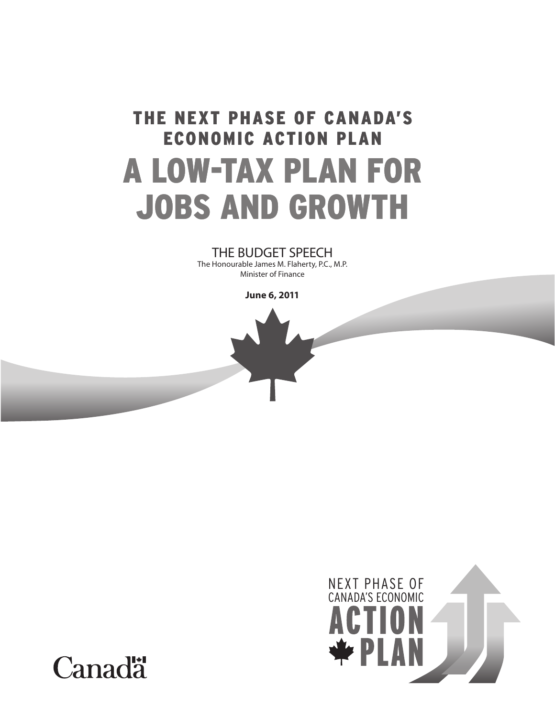# THE NEXT PHASE OF CANADA'S ECONOMIC ACTION PLAN A LOW-TAX PLAN FOR JOBS AND GROWTH

### THE BUDGET SPEECH

The Honourable James M. Flaherty, P.C., M.P. Minister of Finance

**June 6, 2011**





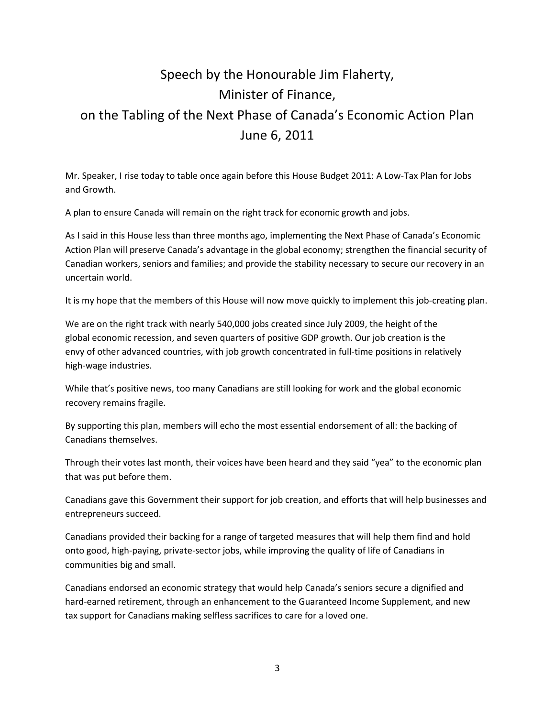## Speech by the Honourable Jim Flaherty, Minister of Finance, on the Tabling of the Next Phase of Canada's Economic Action Plan June 6, 2011

Mr. Speaker, I rise today to table once again before this House Budget 2011: A Low-Tax Plan for Jobs and Growth.

A plan to ensure Canada will remain on the right track for economic growth and jobs.

As I said in this House less than three months ago, implementing the Next Phase of Canada's Economic Action Plan will preserve Canada's advantage in the global economy; strengthen the financial security of Canadian workers, seniors and families; and provide the stability necessary to secure our recovery in an uncertain world.

It is my hope that the members of this House will now move quickly to implement this job-creating plan.

We are on the right track with nearly 540,000 jobs created since July 2009, the height of the global economic recession, and seven quarters of positive GDP growth. Our job creation is the envy of other advanced countries, with job growth concentrated in full-time positions in relatively high-wage industries.

While that's positive news, too many Canadians are still looking for work and the global economic recovery remains fragile.

By supporting this plan, members will echo the most essential endorsement of all: the backing of Canadians themselves.

Through their votes last month, their voices have been heard and they said "yea" to the economic plan that was put before them.

Canadians gave this Government their support for job creation, and efforts that will help businesses and entrepreneurs succeed.

Canadians provided their backing for a range of targeted measures that will help them find and hold onto good, high-paying, private-sector jobs, while improving the quality of life of Canadians in communities big and small.

Canadians endorsed an economic strategy that would help Canada's seniors secure a dignified and hard-earned retirement, through an enhancement to the Guaranteed Income Supplement, and new tax support for Canadians making selfless sacrifices to care for a loved one.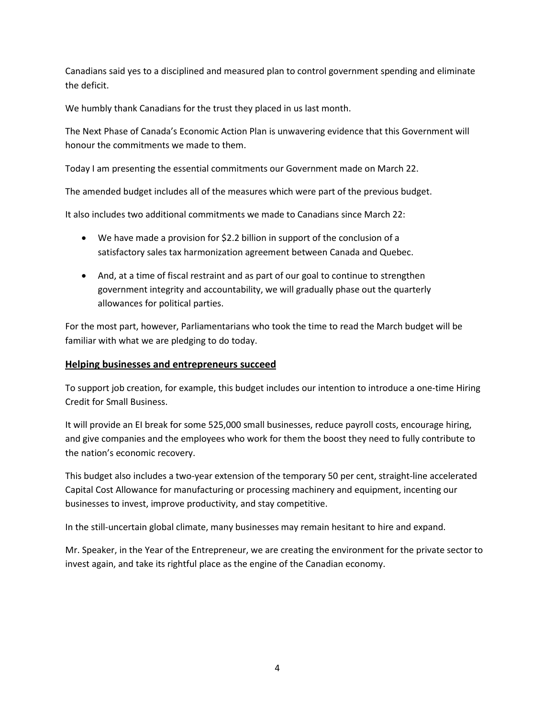Canadians said yes to a disciplined and measured plan to control government spending and eliminate the deficit.

We humbly thank Canadians for the trust they placed in us last month.

The Next Phase of Canada's Economic Action Plan is unwavering evidence that this Government will honour the commitments we made to them.

Today I am presenting the essential commitments our Government made on March 22.

The amended budget includes all of the measures which were part of the previous budget.

It also includes two additional commitments we made to Canadians since March 22:

- We have made a provision for \$2.2 billion in support of the conclusion of a satisfactory sales tax harmonization agreement between Canada and Quebec.
- And, at a time of fiscal restraint and as part of our goal to continue to strengthen government integrity and accountability, we will gradually phase out the quarterly allowances for political parties.

For the most part, however, Parliamentarians who took the time to read the March budget will be familiar with what we are pledging to do today.

#### **Helping businesses and entrepreneurs succeed**

To support job creation, for example, this budget includes our intention to introduce a one-time Hiring Credit for Small Business.

It will provide an EI break for some 525,000 small businesses, reduce payroll costs, encourage hiring, and give companies and the employees who work for them the boost they need to fully contribute to the nation's economic recovery.

This budget also includes a two-year extension of the temporary 50 per cent, straight-line accelerated Capital Cost Allowance for manufacturing or processing machinery and equipment, incenting our businesses to invest, improve productivity, and stay competitive.

In the still-uncertain global climate, many businesses may remain hesitant to hire and expand.

Mr. Speaker, in the Year of the Entrepreneur, we are creating the environment for the private sector to invest again, and take its rightful place as the engine of the Canadian economy.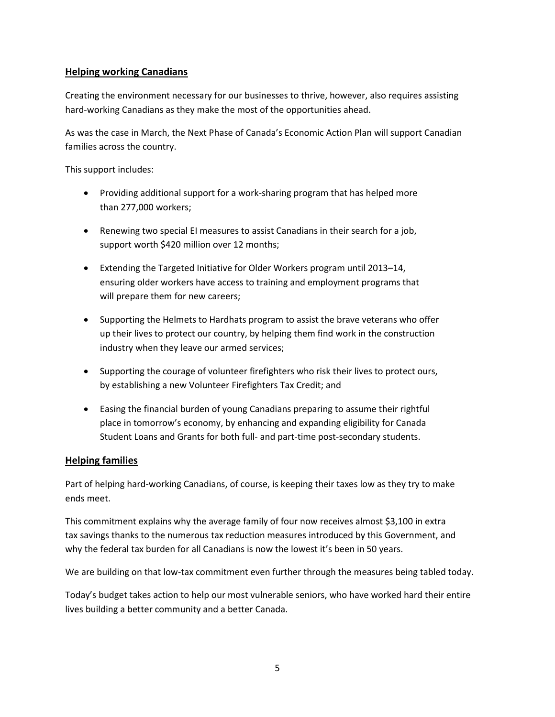#### **Helping working Canadians**

Creating the environment necessary for our businesses to thrive, however, also requires assisting hard-working Canadians as they make the most of the opportunities ahead.

As was the case in March, the Next Phase of Canada's Economic Action Plan will support Canadian families across the country.

This support includes:

- Providing additional support for a work-sharing program that has helped more than 277,000 workers;
- Renewing two special EI measures to assist Canadians in their search for a job, support worth \$420 million over 12 months;
- Extending the Targeted Initiative for Older Workers program until 2013–14, ensuring older workers have access to training and employment programs that will prepare them for new careers;
- Supporting the Helmets to Hardhats program to assist the brave veterans who offer up their lives to protect our country, by helping them find work in the construction industry when they leave our armed services;
- Supporting the courage of volunteer firefighters who risk their lives to protect ours, by establishing a new Volunteer Firefighters Tax Credit; and
- Easing the financial burden of young Canadians preparing to assume their rightful place in tomorrow's economy, by enhancing and expanding eligibility for Canada Student Loans and Grants for both full- and part-time post-secondary students.

#### **Helping families**

Part of helping hard-working Canadians, of course, is keeping their taxes low as they try to make ends meet.

This commitment explains why the average family of four now receives almost \$3,100 in extra tax savings thanks to the numerous tax reduction measures introduced by this Government, and why the federal tax burden for all Canadians is now the lowest it's been in 50 years.

We are building on that low-tax commitment even further through the measures being tabled today.

Today's budget takes action to help our most vulnerable seniors, who have worked hard their entire lives building a better community and a better Canada.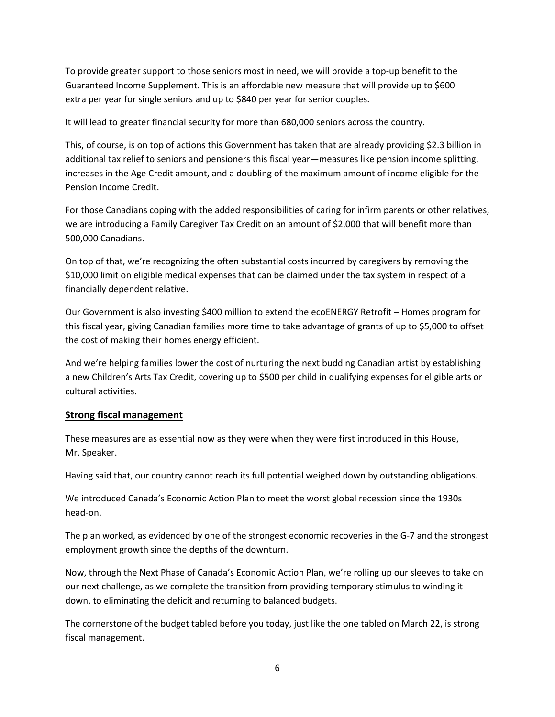To provide greater support to those seniors most in need, we will provide a top-up benefit to the Guaranteed Income Supplement. This is an affordable new measure that will provide up to \$600 extra per year for single seniors and up to \$840 per year for senior couples.

It will lead to greater financial security for more than 680,000 seniors across the country.

This, of course, is on top of actions this Government has taken that are already providing \$2.3 billion in additional tax relief to seniors and pensioners this fiscal year—measures like pension income splitting, increases in the Age Credit amount, and a doubling of the maximum amount of income eligible for the Pension Income Credit.

For those Canadians coping with the added responsibilities of caring for infirm parents or other relatives, we are introducing a Family Caregiver Tax Credit on an amount of \$2,000 that will benefit more than 500,000 Canadians.

On top of that, we're recognizing the often substantial costs incurred by caregivers by removing the \$10,000 limit on eligible medical expenses that can be claimed under the tax system in respect of a financially dependent relative.

Our Government is also investing \$400 million to extend the ecoENERGY Retrofit – Homes program for this fiscal year, giving Canadian families more time to take advantage of grants of up to \$5,000 to offset the cost of making their homes energy efficient.

And we're helping families lower the cost of nurturing the next budding Canadian artist by establishing a new Children's Arts Tax Credit, covering up to \$500 per child in qualifying expenses for eligible arts or cultural activities.

#### **Strong fiscal management**

These measures are as essential now as they were when they were first introduced in this House, Mr. Speaker.

Having said that, our country cannot reach its full potential weighed down by outstanding obligations.

We introduced Canada's Economic Action Plan to meet the worst global recession since the 1930s head-on.

The plan worked, as evidenced by one of the strongest economic recoveries in the G-7 and the strongest employment growth since the depths of the downturn.

Now, through the Next Phase of Canada's Economic Action Plan, we're rolling up our sleeves to take on our next challenge, as we complete the transition from providing temporary stimulus to winding it down, to eliminating the deficit and returning to balanced budgets.

The cornerstone of the budget tabled before you today, just like the one tabled on March 22, is strong fiscal management.